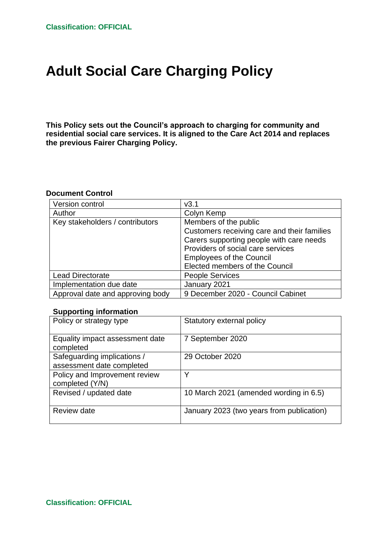# **Adult Social Care Charging Policy**

**This Policy sets out the Council's approach to charging for community and residential social care services. It is aligned to the Care Act 2014 and replaces the previous Fairer Charging Policy.**

#### **Document Control**

| Version control                  | v3.1                                        |  |
|----------------------------------|---------------------------------------------|--|
| Author                           | Colyn Kemp                                  |  |
| Key stakeholders / contributors  | Members of the public                       |  |
|                                  | Customers receiving care and their families |  |
|                                  | Carers supporting people with care needs    |  |
|                                  | Providers of social care services           |  |
|                                  | <b>Employees of the Council</b>             |  |
|                                  | Elected members of the Council              |  |
| <b>Lead Directorate</b>          | <b>People Services</b>                      |  |
| Implementation due date          | January 2021                                |  |
| Approval date and approving body | 9 December 2020 - Council Cabinet           |  |

#### **Supporting information**

| Policy or strategy type                                  | Statutory external policy                 |
|----------------------------------------------------------|-------------------------------------------|
| Equality impact assessment date<br>completed             | 7 September 2020                          |
| Safeguarding implications /<br>assessment date completed | 29 October 2020                           |
| Policy and Improvement review<br>completed (Y/N)         | ◡                                         |
| Revised / updated date                                   | 10 March 2021 (amended wording in 6.5)    |
| Review date                                              | January 2023 (two years from publication) |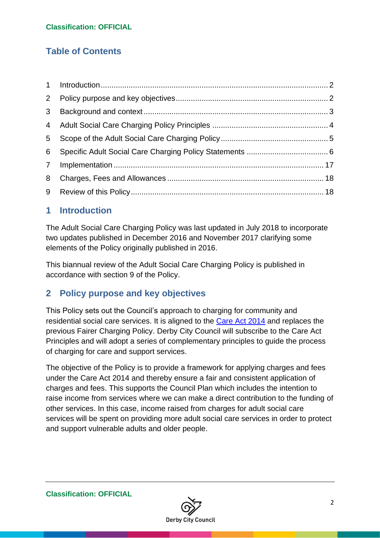# **Table of Contents**

| $2^{\circ}$    |  |
|----------------|--|
| 3 <sup>1</sup> |  |
|                |  |
| 5              |  |
| 6              |  |
|                |  |
| 8              |  |
|                |  |

### <span id="page-1-0"></span>**1 Introduction**

The Adult Social Care Charging Policy was last updated in July 2018 to incorporate two updates published in December 2016 and November 2017 clarifying some elements of the Policy originally published in 2016.

This biannual review of the Adult Social Care Charging Policy is published in accordance with section 9 of the Policy.

# <span id="page-1-1"></span>**2 Policy purpose and key objectives**

This Policy sets out the Council's approach to charging for community and residential social care services. It is aligned to the [Care Act 2014](https://www.legislation.gov.uk/ukpga/2014/23/contents/enacted) and replaces the previous Fairer Charging Policy. Derby City Council will subscribe to the Care Act Principles and will adopt a series of complementary principles to guide the process of charging for care and support services.

The objective of the Policy is to provide a framework for applying charges and fees under the Care Act 2014 and thereby ensure a fair and consistent application of charges and fees. This supports the Council Plan which includes the intention to raise income from services where we can make a direct contribution to the funding of other services. In this case, income raised from charges for adult social care services will be spent on providing more adult social care services in order to protect and support vulnerable adults and older people.

<span id="page-1-2"></span>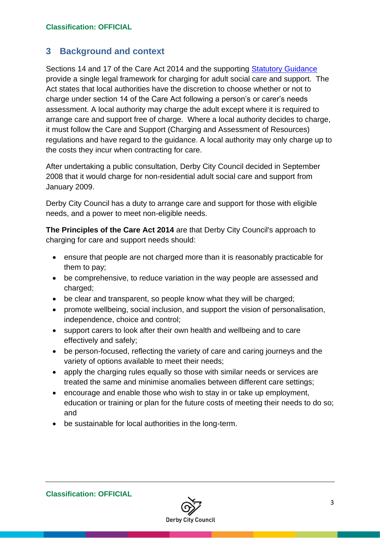## **3 Background and context**

Sections 14 and 17 of the Care Act 2014 and the supporting [Statutory Guidance](https://www.gov.uk/government/publications/care-act-statutory-guidance/care-and-support-statutory-guidance) provide a single legal framework for charging for adult social care and support. The Act states that local authorities have the discretion to choose whether or not to charge under section 14 of the Care Act following a person's or carer's needs assessment. A local authority may charge the adult except where it is required to arrange care and support free of charge. Where a local authority decides to charge, it must follow the Care and Support (Charging and Assessment of Resources) regulations and have regard to the guidance. A local authority may only charge up to the costs they incur when contracting for care.

After undertaking a public consultation, Derby City Council decided in September 2008 that it would charge for non-residential adult social care and support from January 2009.

Derby City Council has a duty to arrange care and support for those with eligible needs, and a power to meet non-eligible needs.

**The Principles of the Care Act 2014** are that Derby City Council's approach to charging for care and support needs should:

- ensure that people are not charged more than it is reasonably practicable for them to pay;
- be comprehensive, to reduce variation in the way people are assessed and charged;
- be clear and transparent, so people know what they will be charged;
- promote wellbeing, social inclusion, and support the vision of personalisation, independence, choice and control;
- support carers to look after their own health and wellbeing and to care effectively and safely;
- be person-focused, reflecting the variety of care and caring journeys and the variety of options available to meet their needs;
- apply the charging rules equally so those with similar needs or services are treated the same and minimise anomalies between different care settings;
- encourage and enable those who wish to stay in or take up employment, education or training or plan for the future costs of meeting their needs to do so; and
- <span id="page-2-0"></span>• be sustainable for local authorities in the long-term.

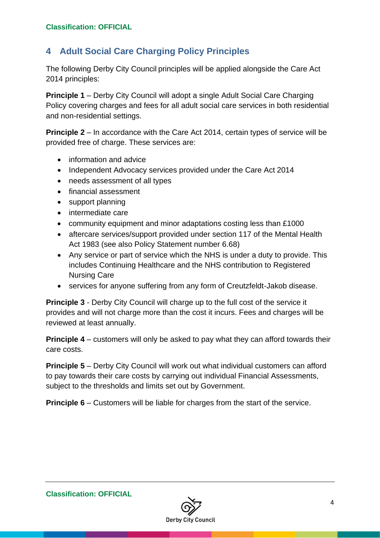# **4 Adult Social Care Charging Policy Principles**

The following Derby City Council principles will be applied alongside the Care Act 2014 principles:

**Principle 1** – Derby City Council will adopt a single Adult Social Care Charging Policy covering charges and fees for all adult social care services in both residential and non-residential settings.

**Principle 2** – In accordance with the Care Act 2014, certain types of service will be provided free of charge. These services are:

- information and advice
- Independent Advocacy services provided under the Care Act 2014
- needs assessment of all types
- financial assessment
- support planning
- intermediate care
- community equipment and minor adaptations costing less than £1000
- aftercare services/support provided under section 117 of the Mental Health Act 1983 (see also Policy Statement number 6.68)
- Any service or part of service which the NHS is under a duty to provide. This includes Continuing Healthcare and the NHS contribution to Registered Nursing Care
- services for anyone suffering from any form of Creutzfeldt-Jakob disease.

**Principle 3** - Derby City Council will charge up to the full cost of the service it provides and will not charge more than the cost it incurs. Fees and charges will be reviewed at least annually.

**Principle 4** – customers will only be asked to pay what they can afford towards their care costs.

**Principle 5** – Derby City Council will work out what individual customers can afford to pay towards their care costs by carrying out individual Financial Assessments, subject to the thresholds and limits set out by Government.

**Principle 6** – Customers will be liable for charges from the start of the service.

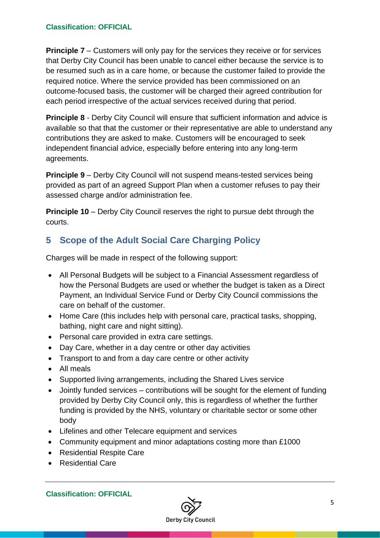**Principle 7** – Customers will only pay for the services they receive or for services that Derby City Council has been unable to cancel either because the service is to be resumed such as in a care home, or because the customer failed to provide the required notice. Where the service provided has been commissioned on an outcome-focused basis, the customer will be charged their agreed contribution for each period irrespective of the actual services received during that period.

**Principle 8** - Derby City Council will ensure that sufficient information and advice is available so that that the customer or their representative are able to understand any contributions they are asked to make. Customers will be encouraged to seek independent financial advice, especially before entering into any long-term agreements.

**Principle 9** – Derby City Council will not suspend means-tested services being provided as part of an agreed Support Plan when a customer refuses to pay their assessed charge and/or administration fee.

**Principle 10** – Derby City Council reserves the right to pursue debt through the courts.

# <span id="page-4-0"></span>**5 Scope of the Adult Social Care Charging Policy**

Charges will be made in respect of the following support:

- All Personal Budgets will be subject to a Financial Assessment regardless of how the Personal Budgets are used or whether the budget is taken as a Direct Payment, an Individual Service Fund or Derby City Council commissions the care on behalf of the customer.
- Home Care (this includes help with personal care, practical tasks, shopping, bathing, night care and night sitting).
- Personal care provided in extra care settings.
- Day Care, whether in a day centre or other day activities
- Transport to and from a day care centre or other activity
- All meals
- Supported living arrangements, including the Shared Lives service
- Jointly funded services contributions will be sought for the element of funding provided by Derby City Council only, this is regardless of whether the further funding is provided by the NHS, voluntary or charitable sector or some other body
- Lifelines and other Telecare equipment and services
- Community equipment and minor adaptations costing more than £1000
- Residential Respite Care
- Residential Care

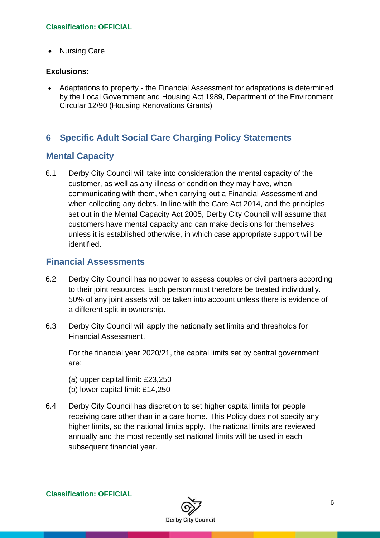• Nursing Care

#### **Exclusions:**

• Adaptations to property - the Financial Assessment for adaptations is determined by the Local Government and Housing Act 1989, Department of the Environment Circular 12/90 (Housing Renovations Grants)

# <span id="page-5-0"></span>**6 Specific Adult Social Care Charging Policy Statements**

### **Mental Capacity**

6.1 Derby City Council will take into consideration the mental capacity of the customer, as well as any illness or condition they may have, when communicating with them, when carrying out a Financial Assessment and when collecting any debts. In line with the Care Act 2014, and the principles set out in the Mental Capacity Act 2005, Derby City Council will assume that customers have mental capacity and can make decisions for themselves unless it is established otherwise, in which case appropriate support will be identified.

### **Financial Assessments**

- 6.2 Derby City Council has no power to assess couples or civil partners according to their joint resources. Each person must therefore be treated individually. 50% of any joint assets will be taken into account unless there is evidence of a different split in ownership.
- 6.3 Derby City Council will apply the nationally set limits and thresholds for Financial Assessment.

For the financial year 2020/21, the capital limits set by central government are:

(a) upper capital limit: £23,250 (b) lower capital limit: £14,250

6.4 Derby City Council has discretion to set higher capital limits for people receiving care other than in a care home. This Policy does not specify any higher limits, so the national limits apply. The national limits are reviewed annually and the most recently set national limits will be used in each subsequent financial year.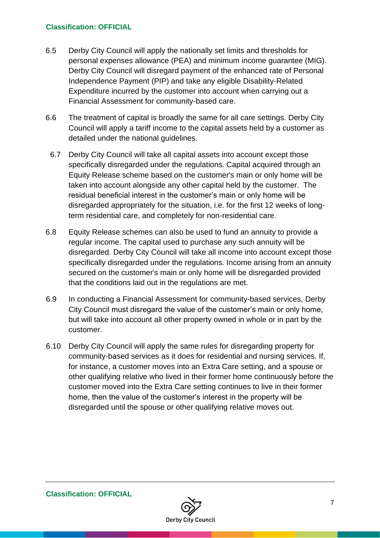- 6.5 Derby City Council will apply the nationally set limits and thresholds for personal expenses allowance (PEA) and minimum income guarantee (MIG). Derby City Council will disregard payment of the enhanced rate of Personal Independence Payment (PIP) and take any eligible Disability-Related Expenditure incurred by the customer into account when carrying out a Financial Assessment for community-based care.
- 6.6 The treatment of capital is broadly the same for all care settings. Derby City Council will apply a tariff income to the capital assets held by a customer as detailed under the national guidelines.
- 6.7 Derby City Council will take all capital assets into account except those specifically disregarded under the regulations. Capital acquired through an Equity Release scheme based on the customer's main or only home will be taken into account alongside any other capital held by the customer. The residual beneficial interest in the customer's main or only home will be disregarded appropriately for the situation, i.e. for the first 12 weeks of longterm residential care, and completely for non-residential care.
- 6.8 Equity Release schemes can also be used to fund an annuity to provide a regular income. The capital used to purchase any such annuity will be disregarded. Derby City Council will take all income into account except those specifically disregarded under the regulations. Income arising from an annuity secured on the customer's main or only home will be disregarded provided that the conditions laid out in the regulations are met.
- 6.9 In conducting a Financial Assessment for community-based services, Derby City Council must disregard the value of the customer's main or only home, but will take into account all other property owned in whole or in part by the customer.
- 6.10 Derby City Council will apply the same rules for disregarding property for community-based services as it does for residential and nursing services. If, for instance, a customer moves into an Extra Care setting, and a spouse or other qualifying relative who lived in their former home continuously before the customer moved into the Extra Care setting continues to live in their former home, then the value of the customer's interest in the property will be disregarded until the spouse or other qualifying relative moves out.

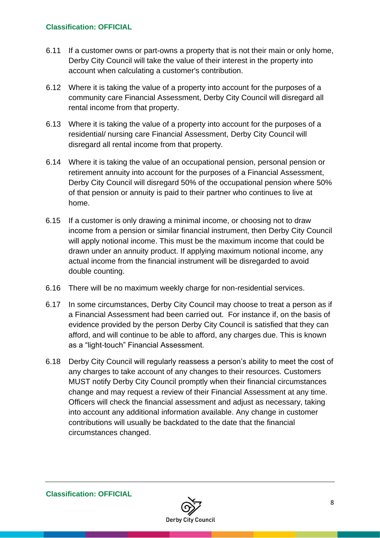- 6.11 If a customer owns or part-owns a property that is not their main or only home, Derby City Council will take the value of their interest in the property into account when calculating a customer's contribution.
- 6.12 Where it is taking the value of a property into account for the purposes of a community care Financial Assessment, Derby City Council will disregard all rental income from that property.
- 6.13 Where it is taking the value of a property into account for the purposes of a residential/ nursing care Financial Assessment, Derby City Council will disregard all rental income from that property.
- 6.14 Where it is taking the value of an occupational pension, personal pension or retirement annuity into account for the purposes of a Financial Assessment, Derby City Council will disregard 50% of the occupational pension where 50% of that pension or annuity is paid to their partner who continues to live at home.
- 6.15 If a customer is only drawing a minimal income, or choosing not to draw income from a pension or similar financial instrument, then Derby City Council will apply notional income. This must be the maximum income that could be drawn under an annuity product. If applying maximum notional income, any actual income from the financial instrument will be disregarded to avoid double counting.
- 6.16 There will be no maximum weekly charge for non-residential services.
- 6.17 In some circumstances, Derby City Council may choose to treat a person as if a Financial Assessment had been carried out. For instance if, on the basis of evidence provided by the person Derby City Council is satisfied that they can afford, and will continue to be able to afford, any charges due. This is known as a "light-touch" Financial Assessment.
- 6.18 Derby City Council will regularly reassess a person's ability to meet the cost of any charges to take account of any changes to their resources. Customers MUST notify Derby City Council promptly when their financial circumstances change and may request a review of their Financial Assessment at any time. Officers will check the financial assessment and adjust as necessary, taking into account any additional information available. Any change in customer contributions will usually be backdated to the date that the financial circumstances changed.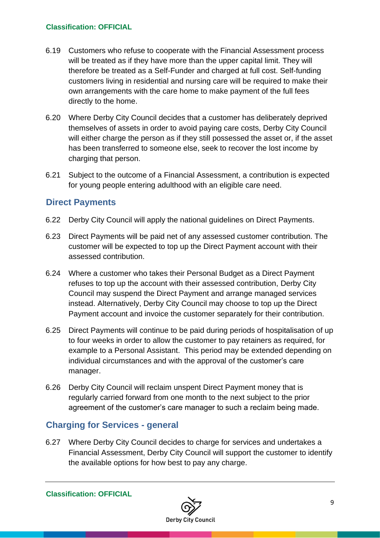- 6.19 Customers who refuse to cooperate with the Financial Assessment process will be treated as if they have more than the upper capital limit. They will therefore be treated as a Self-Funder and charged at full cost. Self-funding customers living in residential and nursing care will be required to make their own arrangements with the care home to make payment of the full fees directly to the home.
- 6.20 Where Derby City Council decides that a customer has deliberately deprived themselves of assets in order to avoid paying care costs, Derby City Council will either charge the person as if they still possessed the asset or, if the asset has been transferred to someone else, seek to recover the lost income by charging that person.
- 6.21 Subject to the outcome of a Financial Assessment, a contribution is expected for young people entering adulthood with an eligible care need.

### **Direct Payments**

- 6.22 Derby City Council will apply the national guidelines on Direct Payments.
- 6.23 Direct Payments will be paid net of any assessed customer contribution. The customer will be expected to top up the Direct Payment account with their assessed contribution.
- 6.24 Where a customer who takes their Personal Budget as a Direct Payment refuses to top up the account with their assessed contribution, Derby City Council may suspend the Direct Payment and arrange managed services instead. Alternatively, Derby City Council may choose to top up the Direct Payment account and invoice the customer separately for their contribution.
- 6.25 Direct Payments will continue to be paid during periods of hospitalisation of up to four weeks in order to allow the customer to pay retainers as required, for example to a Personal Assistant. This period may be extended depending on individual circumstances and with the approval of the customer's care manager.
- 6.26 Derby City Council will reclaim unspent Direct Payment money that is regularly carried forward from one month to the next subject to the prior agreement of the customer's care manager to such a reclaim being made.

### **Charging for Services - general**

6.27 Where Derby City Council decides to charge for services and undertakes a Financial Assessment, Derby City Council will support the customer to identify the available options for how best to pay any charge.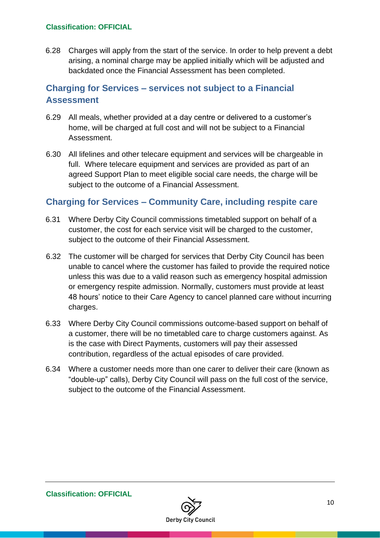6.28 Charges will apply from the start of the service. In order to help prevent a debt arising, a nominal charge may be applied initially which will be adjusted and backdated once the Financial Assessment has been completed.

# **Charging for Services – services not subject to a Financial Assessment**

- 6.29 All meals, whether provided at a day centre or delivered to a customer's home, will be charged at full cost and will not be subject to a Financial Assessment.
- 6.30 All lifelines and other telecare equipment and services will be chargeable in full. Where telecare equipment and services are provided as part of an agreed Support Plan to meet eligible social care needs, the charge will be subject to the outcome of a Financial Assessment.

### **Charging for Services – Community Care, including respite care**

- 6.31 Where Derby City Council commissions timetabled support on behalf of a customer, the cost for each service visit will be charged to the customer, subject to the outcome of their Financial Assessment.
- 6.32 The customer will be charged for services that Derby City Council has been unable to cancel where the customer has failed to provide the required notice unless this was due to a valid reason such as emergency hospital admission or emergency respite admission. Normally, customers must provide at least 48 hours' notice to their Care Agency to cancel planned care without incurring charges.
- 6.33 Where Derby City Council commissions outcome-based support on behalf of a customer, there will be no timetabled care to charge customers against. As is the case with Direct Payments, customers will pay their assessed contribution, regardless of the actual episodes of care provided.
- 6.34 Where a customer needs more than one carer to deliver their care (known as "double-up" calls), Derby City Council will pass on the full cost of the service, subject to the outcome of the Financial Assessment.

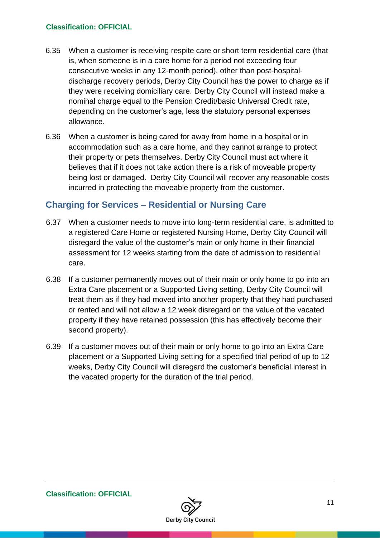- 6.35 When a customer is receiving respite care or short term residential care (that is, when someone is in a care home for a period not exceeding four consecutive weeks in any 12-month period), other than post-hospitaldischarge recovery periods, Derby City Council has the power to charge as if they were receiving domiciliary care. Derby City Council will instead make a nominal charge equal to the Pension Credit/basic Universal Credit rate, depending on the customer's age, less the statutory personal expenses allowance.
- 6.36 When a customer is being cared for away from home in a hospital or in accommodation such as a care home, and they cannot arrange to protect their property or pets themselves, Derby City Council must act where it believes that if it does not take action there is a risk of moveable property being lost or damaged. Derby City Council will recover any reasonable costs incurred in protecting the moveable property from the customer.

# **Charging for Services – Residential or Nursing Care**

- 6.37 When a customer needs to move into long-term residential care, is admitted to a registered Care Home or registered Nursing Home, Derby City Council will disregard the value of the customer's main or only home in their financial assessment for 12 weeks starting from the date of admission to residential care.
- 6.38 If a customer permanently moves out of their main or only home to go into an Extra Care placement or a Supported Living setting, Derby City Council will treat them as if they had moved into another property that they had purchased or rented and will not allow a 12 week disregard on the value of the vacated property if they have retained possession (this has effectively become their second property).
- 6.39 If a customer moves out of their main or only home to go into an Extra Care placement or a Supported Living setting for a specified trial period of up to 12 weeks, Derby City Council will disregard the customer's beneficial interest in the vacated property for the duration of the trial period.

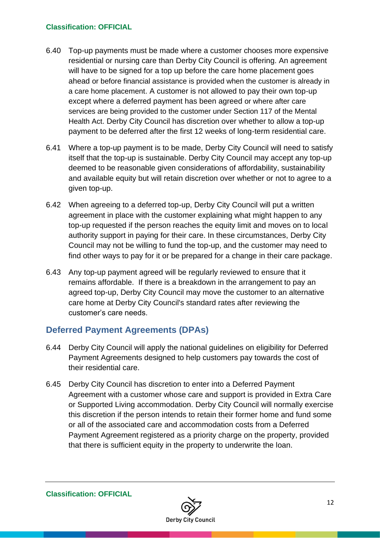- 6.40 Top-up payments must be made where a customer chooses more expensive residential or nursing care than Derby City Council is offering. An agreement will have to be signed for a top up before the care home placement goes ahead or before financial assistance is provided when the customer is already in a care home placement. A customer is not allowed to pay their own top-up except where a deferred payment has been agreed or where after care services are being provided to the customer under Section 117 of the Mental Health Act. Derby City Council has discretion over whether to allow a top-up payment to be deferred after the first 12 weeks of long-term residential care.
- 6.41 Where a top-up payment is to be made, Derby City Council will need to satisfy itself that the top-up is sustainable. Derby City Council may accept any top-up deemed to be reasonable given considerations of affordability, sustainability and available equity but will retain discretion over whether or not to agree to a given top-up.
- 6.42 When agreeing to a deferred top-up, Derby City Council will put a written agreement in place with the customer explaining what might happen to any top-up requested if the person reaches the equity limit and moves on to local authority support in paying for their care. In these circumstances, Derby City Council may not be willing to fund the top-up, and the customer may need to find other ways to pay for it or be prepared for a change in their care package.
- 6.43 Any top-up payment agreed will be regularly reviewed to ensure that it remains affordable. If there is a breakdown in the arrangement to pay an agreed top-up, Derby City Council may move the customer to an alternative care home at Derby City Council's standard rates after reviewing the customer's care needs.

### **Deferred Payment Agreements (DPAs)**

- 6.44 Derby City Council will apply the national guidelines on eligibility for Deferred Payment Agreements designed to help customers pay towards the cost of their residential care.
- 6.45 Derby City Council has discretion to enter into a Deferred Payment Agreement with a customer whose care and support is provided in Extra Care or Supported Living accommodation. Derby City Council will normally exercise this discretion if the person intends to retain their former home and fund some or all of the associated care and accommodation costs from a Deferred Payment Agreement registered as a priority charge on the property, provided that there is sufficient equity in the property to underwrite the loan.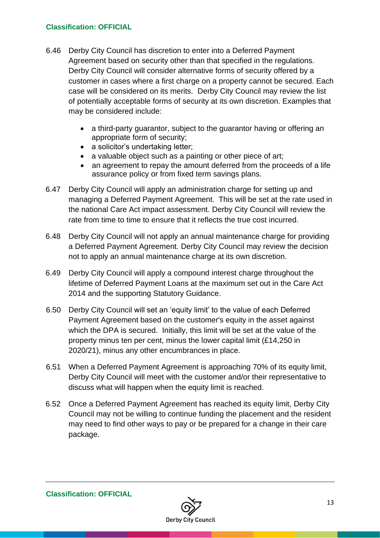- 6.46 Derby City Council has discretion to enter into a Deferred Payment Agreement based on security other than that specified in the regulations. Derby City Council will consider alternative forms of security offered by a customer in cases where a first charge on a property cannot be secured. Each case will be considered on its merits. Derby City Council may review the list of potentially acceptable forms of security at its own discretion. Examples that may be considered include:
	- a third-party quarantor, subject to the quarantor having or offering an appropriate form of security;
	- a solicitor's undertaking letter;
	- a valuable object such as a painting or other piece of art;
	- an agreement to repay the amount deferred from the proceeds of a life assurance policy or from fixed term savings plans.
- 6.47 Derby City Council will apply an administration charge for setting up and managing a Deferred Payment Agreement. This will be set at the rate used in the national Care Act impact assessment. Derby City Council will review the rate from time to time to ensure that it reflects the true cost incurred.
- 6.48 Derby City Council will not apply an annual maintenance charge for providing a Deferred Payment Agreement. Derby City Council may review the decision not to apply an annual maintenance charge at its own discretion.
- 6.49 Derby City Council will apply a compound interest charge throughout the lifetime of Deferred Payment Loans at the maximum set out in the Care Act 2014 and the supporting Statutory Guidance.
- 6.50 Derby City Council will set an 'equity limit' to the value of each Deferred Payment Agreement based on the customer's equity in the asset against which the DPA is secured. Initially, this limit will be set at the value of the property minus ten per cent, minus the lower capital limit (£14,250 in 2020/21), minus any other encumbrances in place.
- 6.51 When a Deferred Payment Agreement is approaching 70% of its equity limit, Derby City Council will meet with the customer and/or their representative to discuss what will happen when the equity limit is reached.
- 6.52 Once a Deferred Payment Agreement has reached its equity limit, Derby City Council may not be willing to continue funding the placement and the resident may need to find other ways to pay or be prepared for a change in their care package.

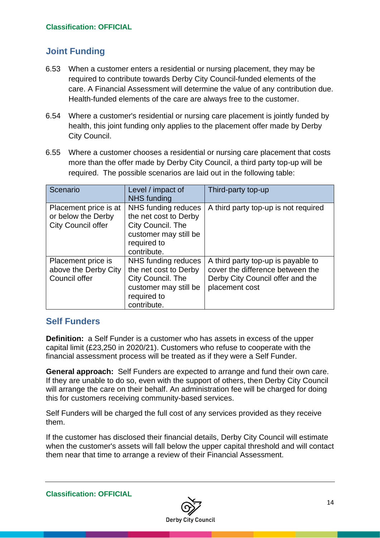# **Joint Funding**

- 6.53 When a customer enters a residential or nursing placement, they may be required to contribute towards Derby City Council-funded elements of the care. A Financial Assessment will determine the value of any contribution due. Health-funded elements of the care are always free to the customer.
- 6.54 Where a customer's residential or nursing care placement is jointly funded by health, this joint funding only applies to the placement offer made by Derby City Council.
- 6.55 Where a customer chooses a residential or nursing care placement that costs more than the offer made by Derby City Council, a third party top-up will be required. The possible scenarios are laid out in the following table:

| Scenario                                                                 | Level / impact of<br><b>NHS</b> funding                                                                                  | Third-party top-up                                                                                                           |
|--------------------------------------------------------------------------|--------------------------------------------------------------------------------------------------------------------------|------------------------------------------------------------------------------------------------------------------------------|
| Placement price is at<br>or below the Derby<br><b>City Council offer</b> | NHS funding reduces<br>the net cost to Derby<br>City Council. The<br>customer may still be<br>required to<br>contribute. | A third party top-up is not required                                                                                         |
| Placement price is<br>above the Derby City<br>Council offer              | NHS funding reduces<br>the net cost to Derby<br>City Council. The<br>customer may still be<br>required to<br>contribute. | A third party top-up is payable to<br>cover the difference between the<br>Derby City Council offer and the<br>placement cost |

### **Self Funders**

**Definition:** a Self Funder is a customer who has assets in excess of the upper capital limit (£23,250 in 2020/21). Customers who refuse to cooperate with the financial assessment process will be treated as if they were a Self Funder.

**General approach:** Self Funders are expected to arrange and fund their own care. If they are unable to do so, even with the support of others, then Derby City Council will arrange the care on their behalf. An administration fee will be charged for doing this for customers receiving community-based services.

Self Funders will be charged the full cost of any services provided as they receive them.

If the customer has disclosed their financial details, Derby City Council will estimate when the customer's assets will fall below the upper capital threshold and will contact them near that time to arrange a review of their Financial Assessment.

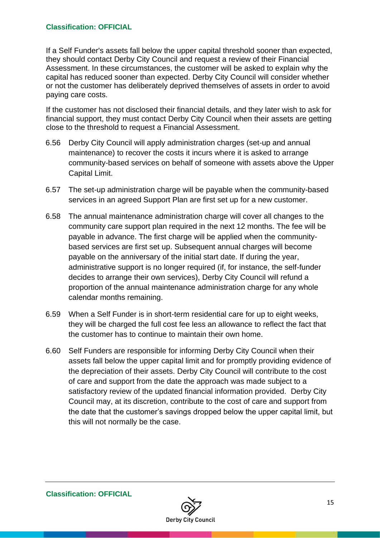If a Self Funder's assets fall below the upper capital threshold sooner than expected, they should contact Derby City Council and request a review of their Financial Assessment. In these circumstances, the customer will be asked to explain why the capital has reduced sooner than expected. Derby City Council will consider whether or not the customer has deliberately deprived themselves of assets in order to avoid paying care costs.

If the customer has not disclosed their financial details, and they later wish to ask for financial support, they must contact Derby City Council when their assets are getting close to the threshold to request a Financial Assessment.

- 6.56 Derby City Council will apply administration charges (set-up and annual maintenance) to recover the costs it incurs where it is asked to arrange community-based services on behalf of someone with assets above the Upper Capital Limit.
- 6.57 The set-up administration charge will be payable when the community-based services in an agreed Support Plan are first set up for a new customer.
- 6.58 The annual maintenance administration charge will cover all changes to the community care support plan required in the next 12 months. The fee will be payable in advance. The first charge will be applied when the communitybased services are first set up. Subsequent annual charges will become payable on the anniversary of the initial start date. If during the year, administrative support is no longer required (if, for instance, the self-funder decides to arrange their own services), Derby City Council will refund a proportion of the annual maintenance administration charge for any whole calendar months remaining.
- 6.59 When a Self Funder is in short-term residential care for up to eight weeks, they will be charged the full cost fee less an allowance to reflect the fact that the customer has to continue to maintain their own home.
- 6.60 Self Funders are responsible for informing Derby City Council when their assets fall below the upper capital limit and for promptly providing evidence of the depreciation of their assets. Derby City Council will contribute to the cost of care and support from the date the approach was made subject to a satisfactory review of the updated financial information provided. Derby City Council may, at its discretion, contribute to the cost of care and support from the date that the customer's savings dropped below the upper capital limit, but this will not normally be the case.

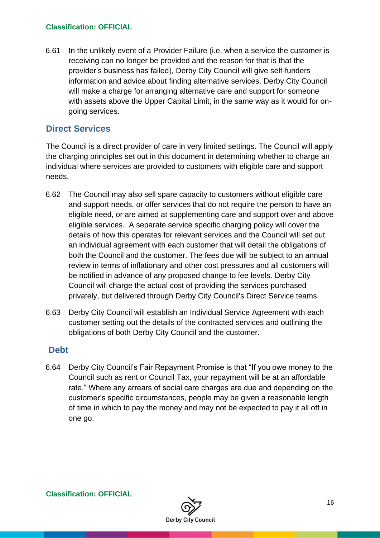6.61 In the unlikely event of a Provider Failure (i.e. when a service the customer is receiving can no longer be provided and the reason for that is that the provider's business has failed), Derby City Council will give self-funders information and advice about finding alternative services. Derby City Council will make a charge for arranging alternative care and support for someone with assets above the Upper Capital Limit, in the same way as it would for ongoing services.

## **Direct Services**

The Council is a direct provider of care in very limited settings. The Council will apply the charging principles set out in this document in determining whether to charge an individual where services are provided to customers with eligible care and support needs.

- 6.62 The Council may also sell spare capacity to customers without eligible care and support needs, or offer services that do not require the person to have an eligible need, or are aimed at supplementing care and support over and above eligible services. A separate service specific charging policy will cover the details of how this operates for relevant services and the Council will set out an individual agreement with each customer that will detail the obligations of both the Council and the customer. The fees due will be subject to an annual review in terms of inflationary and other cost pressures and all customers will be notified in advance of any proposed change to fee levels. Derby City Council will charge the actual cost of providing the services purchased privately, but delivered through Derby City Council's Direct Service teams
- 6.63 Derby City Council will establish an Individual Service Agreement with each customer setting out the details of the contracted services and outlining the obligations of both Derby City Council and the customer.

### **Debt**

6.64 Derby City Council's Fair Repayment Promise is that "If you owe money to the Council such as rent or Council Tax, your repayment will be at an affordable rate." Where any arrears of social care charges are due and depending on the customer's specific circumstances, people may be given a reasonable length of time in which to pay the money and may not be expected to pay it all off in one go.

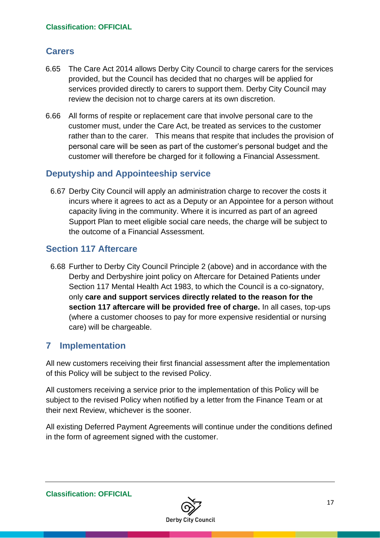# **Carers**

- 6.65 The Care Act 2014 allows Derby City Council to charge carers for the services provided, but the Council has decided that no charges will be applied for services provided directly to carers to support them. Derby City Council may review the decision not to charge carers at its own discretion.
- 6.66 All forms of respite or replacement care that involve personal care to the customer must, under the Care Act, be treated as services to the customer rather than to the carer. This means that respite that includes the provision of personal care will be seen as part of the customer's personal budget and the customer will therefore be charged for it following a Financial Assessment.

# **Deputyship and Appointeeship service**

6.67 Derby City Council will apply an administration charge to recover the costs it incurs where it agrees to act as a Deputy or an Appointee for a person without capacity living in the community. Where it is incurred as part of an agreed Support Plan to meet eligible social care needs, the charge will be subject to the outcome of a Financial Assessment.

# **Section 117 Aftercare**

6.68 Further to Derby City Council Principle 2 (above) and in accordance with the Derby and Derbyshire joint policy on Aftercare for Detained Patients under Section 117 Mental Health Act 1983, to which the Council is a co-signatory, only **care and support services directly related to the reason for the section 117 aftercare will be provided free of charge.** In all cases, top-ups (where a customer chooses to pay for more expensive residential or nursing care) will be chargeable.

### <span id="page-16-0"></span>**7 Implementation**

All new customers receiving their first financial assessment after the implementation of this Policy will be subject to the revised Policy.

All customers receiving a service prior to the implementation of this Policy will be subject to the revised Policy when notified by a letter from the Finance Team or at their next Review, whichever is the sooner.

All existing Deferred Payment Agreements will continue under the conditions defined in the form of agreement signed with the customer.